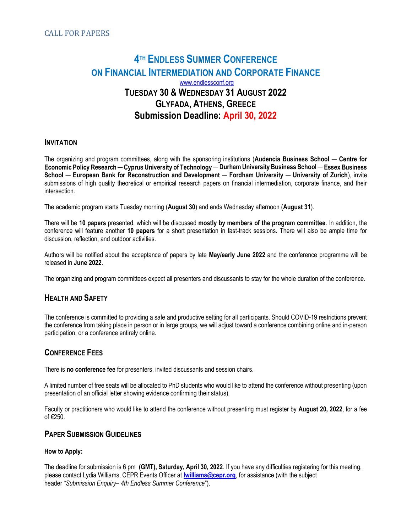# **4TH ENDLESS SUMMER CONFERENCE** ON FINANCIAL INTERMEDIATION AND CORPORATE FINANCE www.endlessconf.org TUESDAY 30 & WEDNESDAY 31 AUGUST 2022 GLYFADA, ATHENS, GREECE Submission Deadline: April 30, 2022

### **INVITATION**

The organizing and program committees, along with the sponsoring institutions (Audencia Business School — Centre for Economic Policy Research ─ Cyprus University of Technology ─ Durham University Business School ─ Essex Business School — European Bank for Reconstruction and Development — Fordham University — University of Zurich), invite submissions of high quality theoretical or empirical research papers on financial intermediation, corporate finance, and their intersection.

The academic program starts Tuesday morning (August 30) and ends Wednesday afternoon (August 31).

There will be 10 papers presented, which will be discussed mostly by members of the program committee. In addition, the conference will feature another 10 papers for a short presentation in fast-track sessions. There will also be ample time for discussion, reflection, and outdoor activities.

Authors will be notified about the acceptance of papers by late May/early June 2022 and the conference programme will be released in June 2022.

The organizing and program committees expect all presenters and discussants to stay for the whole duration of the conference.

## HEALTH AND SAFETY

The conference is committed to providing a safe and productive setting for all participants. Should COVID-19 restrictions prevent the conference from taking place in person or in large groups, we will adjust toward a conference combining online and in-person participation, or a conference entirely online.

## CONFERENCE FEES

There is no conference fee for presenters, invited discussants and session chairs.

A limited number of free seats will be allocated to PhD students who would like to attend the conference without presenting (upon presentation of an official letter showing evidence confirming their status).

Faculty or practitioners who would like to attend the conference without presenting must register by August 20, 2022, for a fee of €250.

### PAPER SUBMISSION GUIDELINES

#### How to Apply:

The deadline for submission is 6 pm (GMT), Saturday, April 30, 2022. If you have any difficulties registering for this meeting, please contact Lydia Williams, CEPR Events Officer at *lwilliams@cepr.org*, for assistance (with the subject header "Submission Enquiry– 4th Endless Summer Conference").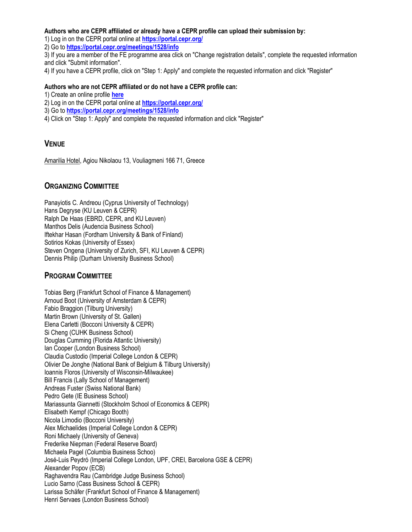#### Authors who are CEPR affiliated or already have a CEPR profile can upload their submission by:

1) Log in on the CEPR portal online at https://portal.cepr.org/

2) Go to https://portal.cepr.org/meetings/1528/info

3) If you are a member of the FE programme area click on "Change registration details", complete the requested information and click "Submit information".

4) If you have a CEPR profile, click on "Step 1: Apply" and complete the requested information and click "Register"

#### Authors who are not CEPR affiliated or do not have a CEPR profile can:

1) Create an online profile here

2) Log in on the CEPR portal online at https://portal.cepr.org/

3) Go to https://portal.cepr.org/meetings/1528/info

4) Click on "Step 1: Apply" and complete the requested information and click "Register"

## **VENUE**

Amarilia Hotel, Agiou Nikolaou 13, Vouliagmeni 166 71, Greece

## ORGANIZING COMMITTEE

Panayiotis C. Andreou (Cyprus University of Technology) Hans Degryse (KU Leuven & CEPR) Ralph De Haas (EBRD, CEPR, and KU Leuven) Manthos Delis (Audencia Business School) Iftekhar Hasan (Fordham University & Bank of Finland) Sotirios Kokas (University of Essex) Steven Ongena (University of Zurich, SFI, KU Leuven & CEPR) Dennis Philip (Durham University Business School)

## PROGRAM COMMITTEE

Tobias Berg (Frankfurt School of Finance & Management) Arnoud Boot (University of Amsterdam & CEPR) Fabio Braggion (Tilburg University) Martin Brown (University of St. Gallen) Elena Carletti (Bocconi University & CEPR) Si Cheng (CUHK Business School) Douglas Cumming (Florida Atlantic University) Ian Cooper (London Business School) Claudia Custodio (Imperial College London & CEPR) Olivier De Jonghe (National Bank of Belgium & Tilburg University) Ioannis Floros (University of Wisconsin-Milwaukee) Bill Francis (Lally School of Management) Andreas Fuster (Swiss National Bank) Pedro Gete (IE Business School) Mariassunta Giannetti (Stockholm School of Economics & CEPR) Elisabeth Kempf (Chicago Booth) Nicola Limodio (Bocconi University) Alex Michaelides (Imperial College London & CEPR) Roni Michaely (University of Geneva) Frederike Niepman (Federal Reserve Board) Michaela Pagel (Columbia Business Schoo) José-Luis Peydró (Imperial College London, UPF, CREI, Barcelona GSE & CEPR) Alexander Popov (ECB) Raghavendra Rau (Cambridge Judge Business School) Lucio Sarno (Cass Business School & CEPR) Larissa Schäfer (Frankfurt School of Finance & Management) Henri Servaes (London Business School)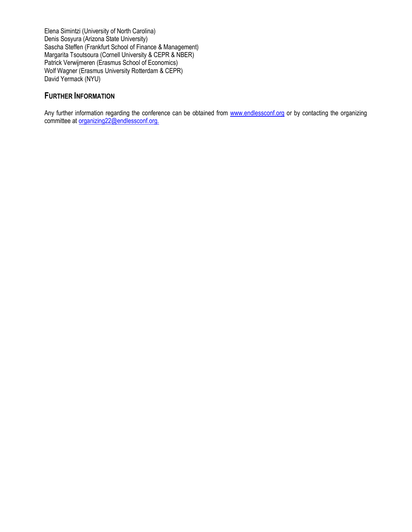Elena Simintzi (University of North Carolina) Denis Sosyura (Arizona State University) Sascha Steffen (Frankfurt School of Finance & Management) Margarita Tsoutsoura (Cornell University & CEPR & NBER) Patrick Verwijmeren (Erasmus School of Economics) Wolf Wagner (Erasmus University Rotterdam & CEPR) David Yermack (NYU)

# FURTHER INFORMATION

Any further information regarding the conference can be obtained from www.endlessconf.org or by contacting the organizing committee at organizing 22@endlessconf.org.